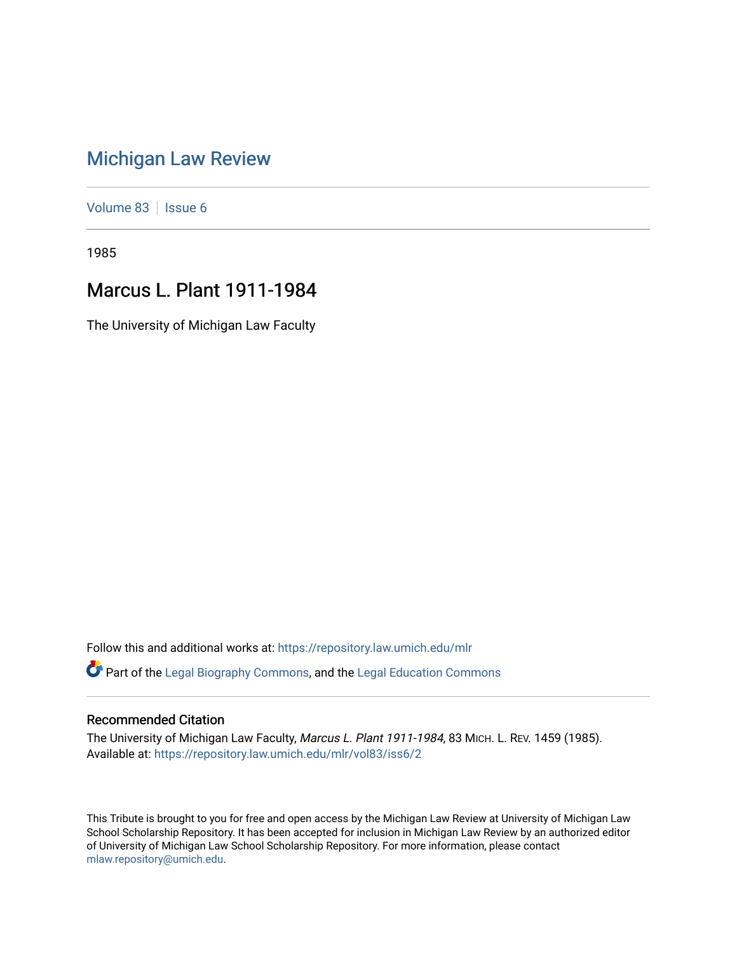## [Michigan Law Review](https://repository.law.umich.edu/mlr)

[Volume 83](https://repository.law.umich.edu/mlr/vol83) | [Issue 6](https://repository.law.umich.edu/mlr/vol83/iss6)

1985

## Marcus L. Plant 1911-1984

The University of Michigan Law Faculty

Follow this and additional works at: [https://repository.law.umich.edu/mlr](https://repository.law.umich.edu/mlr?utm_source=repository.law.umich.edu%2Fmlr%2Fvol83%2Fiss6%2F2&utm_medium=PDF&utm_campaign=PDFCoverPages)  Part of the [Legal Biography Commons,](http://network.bepress.com/hgg/discipline/834?utm_source=repository.law.umich.edu%2Fmlr%2Fvol83%2Fiss6%2F2&utm_medium=PDF&utm_campaign=PDFCoverPages) and the [Legal Education Commons](http://network.bepress.com/hgg/discipline/857?utm_source=repository.law.umich.edu%2Fmlr%2Fvol83%2Fiss6%2F2&utm_medium=PDF&utm_campaign=PDFCoverPages) 

## Recommended Citation

The University of Michigan Law Faculty, Marcus L. Plant 1911-1984, 83 MICH. L. REV. 1459 (1985). Available at: [https://repository.law.umich.edu/mlr/vol83/iss6/2](https://repository.law.umich.edu/mlr/vol83/iss6/2?utm_source=repository.law.umich.edu%2Fmlr%2Fvol83%2Fiss6%2F2&utm_medium=PDF&utm_campaign=PDFCoverPages)

This Tribute is brought to you for free and open access by the Michigan Law Review at University of Michigan Law School Scholarship Repository. It has been accepted for inclusion in Michigan Law Review by an authorized editor of University of Michigan Law School Scholarship Repository. For more information, please contact [mlaw.repository@umich.edu.](mailto:mlaw.repository@umich.edu)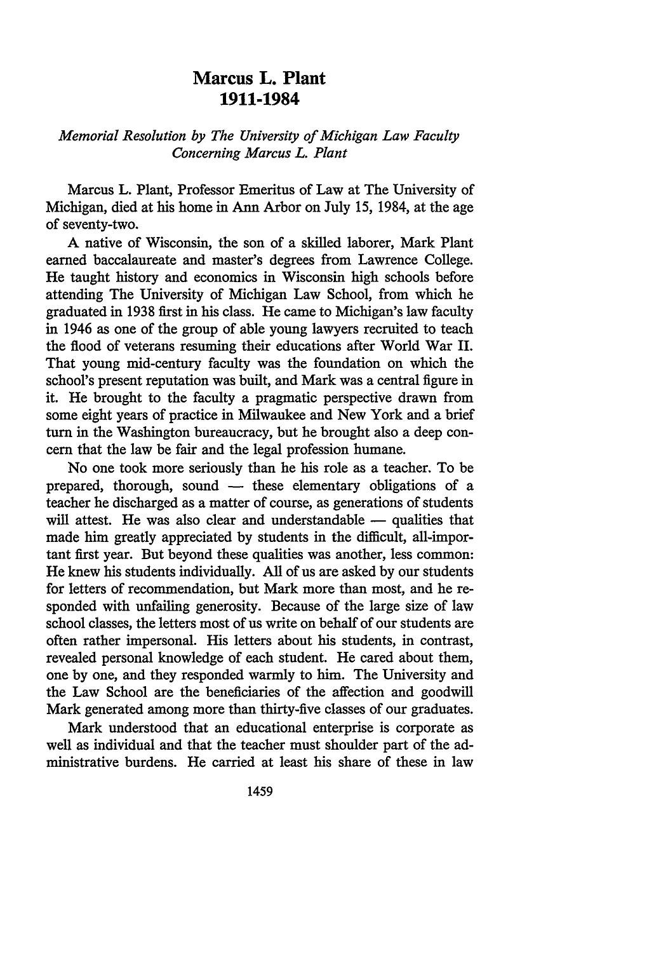## **Marcus L. Plant 1911-1984**

*Memorial Resolution by The University of Michigan Law Faculty Concerning Marcus L. Plant* 

Marcus L. Plant, Professor Emeritus of Law at The University of Michigan, died at his home in Ann Arbor on July 15, 1984, at the age of seventy-two.

A native of Wisconsin, the son of a skilled laborer, Mark Plant earned baccalaureate and master's degrees from Lawrence College. He taught history and economics in Wisconsin high schools before attending The University of Michigan Law School, from which he graduated in 1938 first in his class. He came to Michigan's law faculty in 1946 as one of the group of able young lawyers recruited to teach the flood of veterans resuming their educations after World War II. That young mid-century faculty was the foundation on which the school's present reputation was built, and Mark was a central figure in it. He brought to the faculty a pragmatic perspective drawn from some eight years of practice in Milwaukee and New York and a brief turn in the Washington bureaucracy, but he brought also a deep concern that the law be fair and the legal profession humane.

No one took more seriously than he his role as a teacher. To be prepared, thorough, sound - these elementary obligations of a teacher he discharged as a matter of course, as generations of students will attest. He was also clear and understandable - qualities that made him greatly appreciated by students in the difficult, all-important first year. But beyond these qualities was another, less common: He knew his students individually. All of us are asked by our students for letters of recommendation, but Mark more than most, and he responded with unfailing generosity. Because of the large size of law school classes, the letters most of us write on behalf of our students are often rather impersonal. His letters about his students, in contrast, revealed personal knowledge of each student. He cared about them, one by one, and they responded warmly to him. The University and the Law School are the beneficiaries of the affection and goodwill Mark generated among more than thirty-five classes of our graduates.

Mark understood that an educational enterprise is corporate as well as individual and that the teacher must shoulder part of the administrative burdens. He carried at least his share of these in law